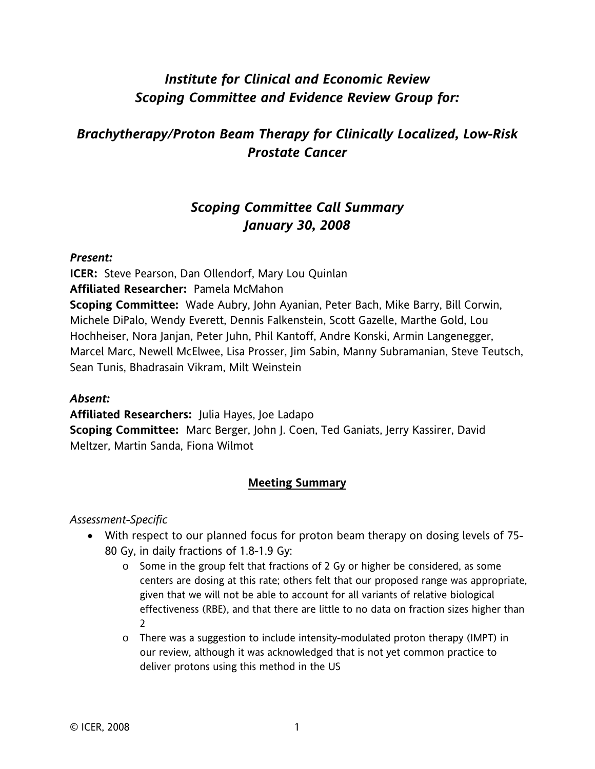# *Institute for Clinical and Economic Review Scoping Committee and Evidence Review Group for:*

# *Brachytherapy/Proton Beam Therapy for Clinically Localized, Low-Risk Prostate Cancer*

### *Scoping Committee Call Summary January 30, 2008*

#### *Present:*

**ICER:** Steve Pearson, Dan Ollendorf, Mary Lou Quinlan

**Affiliated Researcher:** Pamela McMahon

**Scoping Committee:** Wade Aubry, John Ayanian, Peter Bach, Mike Barry, Bill Corwin, Michele DiPalo, Wendy Everett, Dennis Falkenstein, Scott Gazelle, Marthe Gold, Lou Hochheiser, Nora Janjan, Peter Juhn, Phil Kantoff, Andre Konski, Armin Langenegger, Marcel Marc, Newell McElwee, Lisa Prosser, Jim Sabin, Manny Subramanian, Steve Teutsch, Sean Tunis, Bhadrasain Vikram, Milt Weinstein

#### *Absent:*

**Affiliated Researchers:** Julia Hayes, Joe Ladapo **Scoping Committee:** Marc Berger, John J. Coen, Ted Ganiats, Jerry Kassirer, David Meltzer, Martin Sanda, Fiona Wilmot

### **Meeting Summary**

#### *Assessment-Specific*

- With respect to our planned focus for proton beam therapy on dosing levels of 75- 80 Gy, in daily fractions of 1.8-1.9 Gy:
	- $\circ$  Some in the group felt that fractions of 2 Gy or higher be considered, as some centers are dosing at this rate; others felt that our proposed range was appropriate, given that we will not be able to account for all variants of relative biological effectiveness (RBE), and that there are little to no data on fraction sizes higher than  $\mathcal{L}$
	- $\circ$  There was a suggestion to include intensity-modulated proton therapy (IMPT) in our review, although it was acknowledged that is not yet common practice to deliver protons using this method in the US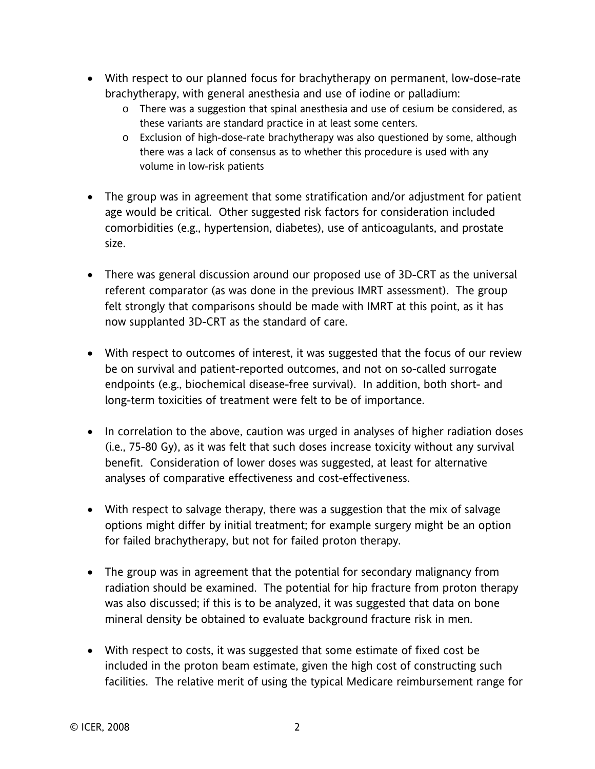- With respect to our planned focus for brachytherapy on permanent, low-dose-rate brachytherapy, with general anesthesia and use of iodine or palladium:
	- $\circ$  There was a suggestion that spinal anesthesia and use of cesium be considered, as these variants are standard practice in at least some centers.
	- o Exclusion of high-dose-rate brachytherapy was also questioned by some, although there was a lack of consensus as to whether this procedure is used with any volume in low-risk patients
- The group was in agreement that some stratification and/or adjustment for patient age would be critical. Other suggested risk factors for consideration included comorbidities (e.g., hypertension, diabetes), use of anticoagulants, and prostate size.
- There was general discussion around our proposed use of 3D-CRT as the universal referent comparator (as was done in the previous IMRT assessment). The group felt strongly that comparisons should be made with IMRT at this point, as it has now supplanted 3D-CRT as the standard of care.
- With respect to outcomes of interest, it was suggested that the focus of our review be on survival and patient-reported outcomes, and not on so-called surrogate endpoints (e.g., biochemical disease-free survival). In addition, both short- and long-term toxicities of treatment were felt to be of importance.
- In correlation to the above, caution was urged in analyses of higher radiation doses (i.e., 75-80 Gy), as it was felt that such doses increase toxicity without any survival benefit. Consideration of lower doses was suggested, at least for alternative analyses of comparative effectiveness and cost-effectiveness.
- With respect to salvage therapy, there was a suggestion that the mix of salvage options might differ by initial treatment; for example surgery might be an option for failed brachytherapy, but not for failed proton therapy.
- The group was in agreement that the potential for secondary malignancy from radiation should be examined. The potential for hip fracture from proton therapy was also discussed; if this is to be analyzed, it was suggested that data on bone mineral density be obtained to evaluate background fracture risk in men.
- With respect to costs, it was suggested that some estimate of fixed cost be included in the proton beam estimate, given the high cost of constructing such facilities. The relative merit of using the typical Medicare reimbursement range for